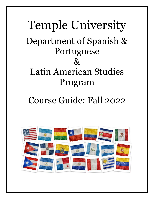# Temple University Department of Spanish & Portuguese  $\&$ Latin American Studies Program

# Course Guide: Fall 2022

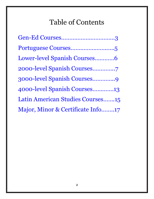# Table of Contents

| Gen-Ed Courses3                   |
|-----------------------------------|
|                                   |
| Lower-level Spanish Courses6      |
|                                   |
| 3000-level Spanish Courses9       |
| 4000-level Spanish Courses13      |
| Latin American Studies Courses15  |
| Major, Minor & Certificate Info17 |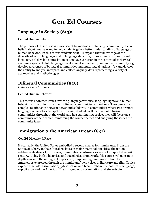## **Gen-Ed Courses**

#### <span id="page-2-0"></span>**Language in Society (815):**

Gen Ed Human Behavior  $\overline{a}$ 

The purpose of this course is to use scientific methods to challenge common myths and beliefs about language and to help students gain a better understanding of language as human behavior. In this course students will: (1) expand their knowledge of the diversity of world languages and of language structure, (2) examine attitudes toward language, (3) develop appreciation of language variation in the context of society, (4) examine aspects of child language development in the family and in the community, (5) develop awareness of bilingual communities and multilingual nations, (6) and develop the ability to analyze, interpret, and collect language data representing a variety of approaches and methodologies.

#### **Bilingual Communities (826):**

*Online - Asynchronous*

Gen Ed Human Behavior

This course addresses issues involving language varieties, language rights and human behavior within bilingual and multilingual communities and nations. The course the complex relationship between power and solidarity in communities where two or more languages or varieties are spoken. In class, students will learn about bilingual communities throughout the world, and in a culminating project they will focus on a community of their choice, reinforcing the course themes and analyzing the issues the community faces.

#### **Immigration & the American Dream (831)**

Gen Ed Diversity & Race

Historically, the United States embodied a second chance for immigrants. From the Statue of Liberty to the cultural enclaves in major metropolitan cities, the nation celebrates its diversity. However, immigration controversies are not unique to the 21st century. Using both a historical and sociological framework, this course will take an indepth look into the immigrant experience, emphasizing immigration from Latin America, as expressed through the immigrants' own voices in literature and film. Topics explored include: assimilation, hybridization and biculturalism; the politics of language; exploitation and the American Dream; gender, discrimination and stereotyping.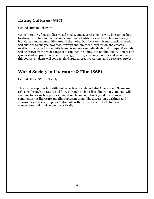#### **Eating Cultures (837)**

Gen Ed Human Behavior  $\overline{a}$ 

Using literature, food studies, visual media, and advertisements, we will examine how foodways structure individual and communal identities, as well as relations among individuals and communities around the globe. Our focus on this most basic of needs will allow us to analyze how food conveys and limits self-expression and creates relationships as well as delimits boundaries between individuals and groups. Materials will be drawn from a wide range of disciplines including, but not limited to, literary and gender studies, psychology, anthropology, history, sociology, politics and economics. In this course, students will conduct field studies, creative writing, and a research project.

#### **World Society in Literature & Film (868)**

Gen Ed Global/World Society

This course explores how different aspects of society in Latin America and Spain are reflected through literature and film. Through an interdisciplinary lens, students will examine topics such as politics, migration, labor conditions, gender, and social commentary as literature and film represent them. The discussions, writings, and viewing-based tasks will provide students with the context and tools to make connections and think and write critically.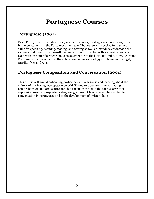## **Portuguese Courses**

### <span id="page-4-0"></span>**Portuguese (1001)**

Basic Portuguese I (4 credit course) is an introductory Portuguese course designed to immerse students in the Portuguese language. The course will develop fundamental skills for speaking, listening, reading, and writing as well as introduce students to the richness and diversity of Luso-Brazilian cultures. It combines three weekly hours of class with an hour of asynchronous engagement with the language and culture. Learning Portuguese opens doors to culture, business, sciences, ecology and travel in Portugal, Brazil, Africa and Asia.

#### **Portuguese Composition and Conversation (2001)**

This course will aim at enhancing proficiency in Portuguese and learning about the culture of the Portuguese-speaking world. The course devotes time to reading comprehension and oral expression, but the main thrust of the course is written expression using appropriate Portuguese grammar. Class time will be devoted to conversation in Portuguese and to the development of written skills.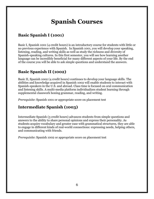# **Spanish Courses**

### <span id="page-5-0"></span>**Basic Spanish I (1001)**

Basic I, Spanish 1001 (4 credit hours) is an introductory course for students with little or no previous experience with Spanish. In Spanish 1001, you will develop your speaking, listening, reading, and writing skills as well as study the richness and diversity of Spanish-speaking cultures. In this first semester, you will see how learning another language can be incredibly beneficial for many different aspects of your life. By the end of the course you will be able to ask simple questions and understand the answers.

#### **Basic Spanish II (1002)**

Basic II, Spanish 1002 (4 credit hours) continues to develop your language skills. The abilities and knowledge acquired in Spanish 1002 will enable students to interact with Spanish-speakers in the U.S. and abroad. Class time is focused on oral communication and listening skills. A multi-media platform individualizes student learning through supplemental classwork honing grammar, reading, and writing.

*Prerequisite*: Spanish 1001 or appropriate score on placement test

### **Intermediate Spanish (1003)**

Intermediate Spanish (3 credit hours) advances students from simple questions and answers to the ability to share personal opinions and express their personality. As students acquire vocabulary and greater ease with grammatical structures, they are able to engage in different kinds of real-world connections: expressing needs, helping others, and communicating with friends.

*Prerequisite*: Spanish 1002 or appropriate score on placement test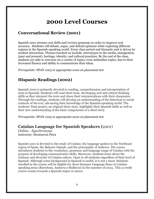## **2000 Level Courses**

#### <span id="page-6-0"></span>**Conversational Review (2001)**

Spanish 2001 stresses oral skills and reviews grammar in order to improve oral accuracy. Students will debate, argue, and defend opinions while exploring different regions in the Spanish-speaking world. Every class period and thematic unit is driven by student interaction. Themes touched on include: stereotypes in the media, immigration (past and present), heritage, identity, and cultural practices. By the end of the class, students are able to converse on a variety of topics, even unfamiliar topics, due to their increased fluency and ability to communicate their ideas.

*Prerequisite:* SPAN 1003 or appropriate score on placement test

#### **Hispanic Readings (2002)**

Spanish 2002 is primarily devoted to reading, comprehension and interpretation of texts in Spanish. Students will read short texts, developing oral and critical thinking skills as they interpret the texts and share their interpretations with their classmates. Through the readings, students will develop an understanding of the historical or social contexts of the text, advancing their knowledge of the Spanish-speaking world. The students' final project, an original short story, highlights their Spanish skills as well as their new understanding of the basic components of a short story.

*Prerequisite:* SPAN 1003 or appropriate score on placement test

#### **Catalan Language for Spanish Speakers (**2201)

*Online - Synchronous* Instructor: Montserrat Piera

Spanish 2201 is devoted to the study of Catalan, the language spoken in the Northeast region of Spain, the Balearic Islands, and the principality of Andorra. The course introduces students to the vocabulary, grammar and language usage of Catalan with the purpose of developing communicative skills. Moreover, students learn about the richness and diversity of Catalan culture. Open to all students regardless of their level of Spanish. Although some background in Spanish is useful, it is not a must. Students enrolled in the course will be eligible for short Summer Language Stays in Catalanspeaking areas (Barcelona, Andorra o Mallorca) in the summer of 2023. This 3-credit course counts towards a Spanish major or minor.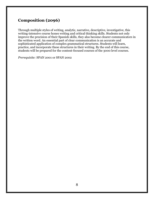#### **Composition (2096)**

Through multiple styles of writing, analytic, narrative, descriptive, investigative, this writing-intensive course hones writing and critical thinking skills. Students not only improve the precision of their Spanish skills, they also become clearer communicators in the written word. An essential part of clear communication is an accurate and sophisticated application of complex grammatical structures. Students will learn, practice, and incorporate these structures in their writing. By the end of this course, students will be prepared for the content-focused courses of the 3000 level courses.

*Prerequisite:* SPAN 2001 or SPAN 2002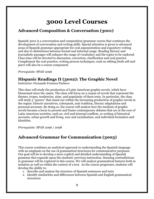## **3000 Level Courses**

#### **Advanced Composition & Conversation (3001)**

Spanish 3001 is a conversation and composition/grammar course that continues the development of conversation and writing skills. Special attention is given to advanced areas of Spanish grammar appropriate for oral argumentation and expository writing and also to distinctions between formal and informal usage. Reading literary and journalistic passages will enhance the range of vocabulary and the topics to be explored. Class time will be devoted to discussion, correction, clarification and oral practice. Complement the oral practice, writing process techniques, such as editing (both self and peer) will also be a course component.

*Prerequisite:* SPAN 2096

#### **Hispanic Readings II (3002): The Graphic Novel**

Instructor: Fernando Fonseca Pacheco

This class will study the production of Latin American graphic novels, which have blossomed since the 1990s. The class will focus on a corpus of novels that represent the themes, tropes, tendencies, aims, and popularity of these texts. In particular, the class will study 5 "genres" that stand out within the increasing production of graphic novels in the region: historic narratives, cyberpunk, noir tradition, literary adaptations and personal accounts. By doing so, the course will analyze how the medium of graphic novels became a locus to present and frame contemporary debates that are at the core of Latin American societies, such as: civil and internal conflicts, re-writing of historical accounts, urban growth and living, race and racialization, and individual formation and identities.

*Prerequisite:* SPAN 2096 / 2098

#### **Advanced Grammar for Communication (3003)**

This course combines an analytical approach to understanding the Spanish language with an emphasis on the use of grammatical structures for communicative purposes. Our goal will be to develop a more explicit and detailed understanding of Spanish grammar that expands upon the students' previous instruction. Seeming contradictions in grammar will be explored in this course. We will analyze grammatical features both in isolation as well as within the context of a text. As the course progresses, students will develop the ability to:

- 1. describe and analyze the structure of Spanish sentences and texts
- 2. identify similarities and differences between Spanish and English grammatical structures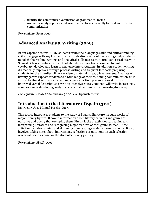- 3. identify the communicative function of grammatical forms
- 4. use increasingly sophisticated grammatical forms correctly for oral and written communication

*Prerequisite*: Span 2096

#### **Advanced Analysis & Writing (3096)**

In our capstone course, 3096, students utilize their language skills and critical thinking skills to engage with key Hispanic texts. Lively discussions of the readings help students to polish the reading, writing, and analytical skills necessary to produce critical essays in Spanish. Class activities consist of collaborative interactions designed to build vocabulary, develop and learn to challenge interpretations. In addition, student writing dramatically improves through process writing and frequent feedback, preparing students for the interdisciplinary academic material in 4000 level courses. A variety of literary genres exposes students to a wide range of themes, honing communication skills critical to liberal arts majors: clear and concise writing, presentations skills, and improved verbal dexterity. As a writing intensive course, students will write increasingly complex essays developing analytical skills that culminate in an investigative essay.

*Prerequisite:* SPAN 2096 and any 3000-level Spanish course

#### **Introduction to the Literature of Spain (3121)**

Instructor: José Manuel Pereiro-Otero

This course introduces students to the study of Spanish literature through works of major literary figures. It covers information about literary currents and genres of narrative and poetry that exemplify them. First it looks at activities for reading and interpreting literature and recognizing major features of each genre studied. These activities include scanning and skimming then reading carefully more than once. It also involves taking notes about impressions, reflections or questions on each selection which will serve as base for the student's literary journey.

*Prerequisite*: SPAN 2096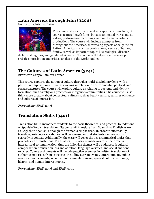#### **Latin America through Film (3204)**

Instructor: Christina Baker



This course takes a broad visual arts approach to include, of course, feature-length films, but also animated works, music videos, performance recordings, and multi-media artistic productions. The course will include examples from throughout the Americas, showcasing aspects of daily life for Latin/x Americans, such as celebrations, a sense of humor, family, as well as important topics like ecological disaster,

dictatorial regimes, and gendered violence. The course will help students develop artistic appreciation and critical analysis of the works studied.

### **The Cultures of Latin America (3241)**

Instructor: Sergio Ramírez-Franco

This course explores the notion of culture through a multi-disciplinary lens, with a particular emphasis on culture as evolving in relation to environmental, political, and social structures. The course will explore culture as relating to customs and identity formation, such as religious practices or indigenous communities. The course will also think more broadly about conceptual cultures such as beauty culture, cultures of silence, and cultures of oppression.

*Prerequisite:* SPAN 2096

## **Translation Skills (3401)**

Translation Skills introduces students to the basic theoretical and practical foundations of Spanish-English translation. Students will translate from Spanish to English as well as English to Spanish, although the former is emphasized. In order to successfully translate, lexicon, or vocabulary, will be stressed so that students can use words correctly in context. Additionally, the class will cover the key grammatical topics that promote clear translations. Translators must also be made aware of their role in intercultural communication; thus the following themes will be addressed: cultural compensation, translation loss and addition, language varieties, and social and tonal register. Course assignments will include practice exercises in written translation of authentic materials, from categories including current events, entertainment, public service announcements, school announcements, cuisine, general political economy, history, and human-interest topics.

*Prerequisite:* SPAN 2096 and SPAN 3001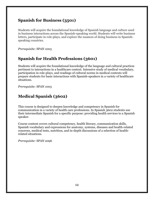#### **Spanish for Business (3501)**

Students will acquire the foundational knowledge of Spanish language and culture used in business interactions across the Spanish-speaking world. Students will write business letters, participate in role-plays, and explore the nuances of doing business in Spanishspeaking countries.

*Prerequisite:* SPAN 1003

#### **Spanish for Health Professions (3601)**

Students will acquire the foundational knowledge of the language and cultural practices pertinent to interactions in a healthcare context. Intensive study of medical vocabulary, participation in role-plays, and readings of cultural norms in medical contexts will prepare students for basic interactions with Spanish-speakers in a variety of healthcare situations.

*Prerequisite:* SPAN 1003

### **Medical Spanish (3602)**

This course is designed to deepen knowledge and competency in Spanish for communication in a variety of health care professions. In Spanish 3602 students use their intermediate Spanish for a specific purpose: providing health services to a Spanish speaker.

Course content covers cultural competency, health literacy, communication skills, Spanish vocabulary and expressions for anatomy, systems, diseases and health-related concerns, medical tests, nutrition, and in-depth discussions of a selection of healthrelated situations.

*Prerequisite:* SPAN 2096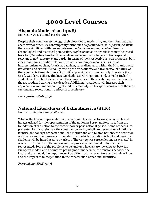## **4000 Level Courses**

#### <span id="page-12-0"></span>**Hispanic Modernism (4128)**

Instructor: José Manuel Pereiro-Otero

Despite their common etymology, their close ties to modernity, and their foundational character for other key contemporary terms such as *postmodernismo/postmodernism*, there are significant differences between *modernismo* and *modernism*. From a chronological and historical perspective, *modernismo* as an artistic idea may be traced back to 19th-century fin-de-siècle, while *modernism* seems to be a notion especially relevant to 20th-century avant-garde. In terms of their respective artistic proposals, both ideas maintain a peculiar relation with other contemporaneous *isms* such as impressionism, cubism, futurism, dadaism, surrealism, and, within the Hispanic world, *ultraismo* and *creacionismo.* By tracing the transatlantic and transnational nature of these concepts through different artistic expressions and, particularly, literature (i.e., Casal, Gutiérrez Nájera, Jiménez, Machado, Martí, Unamuno, and/or Valle-Inclán), students will be able to learn about the complexities of the vocabulary used to describe the art produced during these decades. Additionally, students will increase their appreciation and understanding of modern creativity while experiencing one of the most exciting and revolutionary periods in art's history.

*Prerequisite:* SPAN 3096

#### **National Literatures of Latin America (4146)**

Instructor: Sergio Ramírez-Franco

What is the literary representation of a nation? This course focuses on concepts and images utilized for the representation of the nation in Peruvian literature, from the foundation of the nation to the contemporary post-national period. Some of the issues presented for discussion are the construction and symbolic representation of national identity, the concept of the national, the motherland and related notions, the definition of citizenry and the framework of modernity in which the nation is built and developed. Students will be introduced to a variety of literary genres (prose fiction, essays, etc.) in which the formation of the nation and the process of national development are represented. Some of the problems to be analyzed in class are the contrast between European models and alternative paradigms of modernity, the tensions between the local and the global, the importance of traditions of diverse cultural and ethnic origins, and the impact of miscegenation in the construction of national identities.

*Prerequisite:* SPAN 3096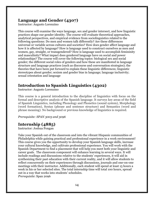#### **Language and Gender (4307)**

Instructor: Augusto Lorenzino

This course will examine the ways language, sex and gender intersect, and how linguistic practices shape our gender identity. The course will evaluate theoretical approaches, analytical perspectives, and empirical evidence from sociolinguistics related to the following questions: Do men and women talk differently? Are these differences universal or variable across cultures and societies? How does gender affect language and how it is affected by language? How is language used to construct ourselves as men and women, gay, straight, or transgendered? How is language used to accomplish femininity and masculinity? What impact does gendered language have on social and power relationships? The course will cover the following topics: biological sex and social gender; the different social roles of genders and how these are manifested in language structure and language practices (such as discourse and conversation strategies); the theories that have been put forward to explain these linguistic differences; linguistic stereotypes about gender; sexism and gender bias in language; language inclusivity; sexual orientation and language

#### **Introduction to Spanish Linguistics (4302)**

Instructor: Augusto Lorenzino

This course is a general introduction to the discipline of linguistics with focus on the formal and descriptive analysis of the Spanish language. It surveys key areas of the field of Spanish Linguistics, including Phonology and Phonetics (sound system), Morphology (word formation), Syntax (phrase and sentence structure) and Semantics (word and phrase meaning). No background or previous knowledge of linguistics is required.

*Prerequisite: SPAN 3003 and 3096* 

#### **Internship (4885)**

Instructor: Joshua Pongan

<span id="page-13-0"></span>Take your Spanish out of the classroom and into the vibrant Hispanic communities of Philadelphia while gaining practical and professional experience in a work environment! This course gives you the opportunity to develop your Spanish language skills, increase your cultural knowledge, and cultivate professional experience. You will work with the Spanish Department to find a placement that will help you meet both your linguistic and career goals. The classroom component will enhance learning in several ways. It will include readings and discussions relative to the students' experiences, it will aid in synthesizing their past education with their current reality, and it will allow students to reflect concurrently on their experiences through discussions, journals and one-on-one meetings with their instructor. Additionally, each student will spend at least 15 hours a week in his or her selected sites. The total internship time will total 100 hours, spread out in a way that works into students' schedules. *Prerequisite*: Span 2096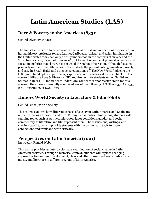## **Latin American Studies (LAS)**

#### **Race & Poverty in the Americas (833):**

Gen Ed Diversity & Race

The transatlantic slave trade was one of the most brutal and momentous experiences in human history. Attitudes toward Latino, Caribbean, African, and Asian immigrants in the United States today can only be fully understood in the contexts of slavery and the "structural racism," "symbolic violence" (not to mention outright physical violence), and social inequalities that slavery has spawned throughout the region. Although focusing primarily on the United States, we will also study the present entanglements of poverty and race in Brazil, Haiti, and other selected nations of "The New World," placing the U.S. (and Philadelphia in particular) experience in this historical context. NOTE: This course fulfills the Race & Diversity (GD) requirement for students under GenEd and Studies in Race (RS) for students under Core. Students cannot receive credit for this course if they have successfully completed any of the following: ANTH 0833, LAS 0933, REL 0833/0933, or SOC 0833.

#### **Honors World Society in Literature & Film (968):**

Gen Ed Global/World Society

This course explores how different aspects of society in Latin America and Spain are reflected through literature and film. Through an interdisciplinary lens, students will examine topics such as politics, migration, labor conditions, gender, and social commentary as literature and film represent them. The discussions, writings, and viewing-based tasks will provide students with the context and tools to make connections and think and write critically.

#### **Perspectives on Latin America (1001)**

Instructor: Ronald Webb

This course provides an interdisciplinary examination of social change in Latin American societies. Through a historical context, students will explore changing approaches to economic development, class and ethnic issues, religious traditions, art, music, and literature in different regions of Latin America.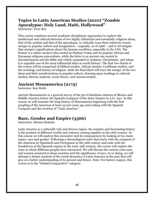### **Topics in Latin American Studies (2010) "Zombie Apocalypse: Holy Land, Haiti, Hollywood"**

Instructor: Terry Rey

This course combines several academic disciplinary approaches to explore the intellectual and cultural histories of two highly influential and essentially religious ideas, that of the zombie and that of the apocalypse, to critically trace their relatively recent merger in popular culture and imagination – arguably, as of 1968 – and to investigate that merger's significations about the human condition, especially in the USA. The former is a rather modern idea rooted in Haitian Vodou and its popular African and European religious antecedents, while the latter is an ancient one rooted in Zoroastrianism and the Bible and widely expanded in Judaism, Christianity, and Islam; it is arguably one of the most influential ideas in world history. The first two-thirds of the course will be comprised of biblical studies, African studies, Caribbean studies, and the sociology and history of religion, while the final third will trace the merger of the two ideas and their manifestations in popular culture, drawing upon readings in cultural studies, literary analysis, social theory, and cinema studies.

#### **Ancient Mesoamerica (2173)**

Instructor: Ron Webb

Ancient Mesoamerica is a general survey of the pre-Columbian cultures of Mexico and Middle America before the Spanish Conquest of the Aztec Empire in A.D. 1521. In this course we will examine the long history of Mesoamerica beginning with the first peopling of the Americas at least 15,000 years ago and ending with the Spanish Conquest and the creation of "Latin America."

### **Race, Gender and Empire (3566)**

Instructor: Mónica Ricketts

Latin America is a culturally rich and diverse region. Its complex and fascinating history is the product of different worlds and cultures coming together in the 16th century. In this course we will analyze this encounter and its consequences by looking at two main topics: race and gender. Following a chronological order that starts with the conquest of the Americas by Spaniards and Portuguese in the 16th century and ends with the breakdown of the Spanish empire in the early 19th century, the course will explore the ways in which different peoples have interacted. We will discuss the various roles men and women assumed in these societies and the significance of race. In so doing, we will attempt a deeper analysis of the social dynamics of Latin America in the past that will give us a better understanding of its present and future. Note: For history majors, this course is in the "Global/Comparative" category.